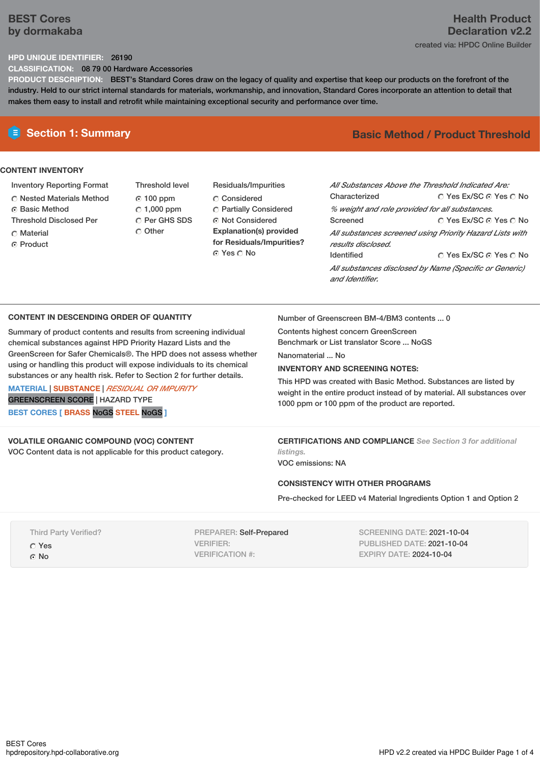# **BEST Cores by dormakaba**

# **Health Product Declaration v2.2** created via: HPDC Online Builder

## **HPD UNIQUE IDENTIFIER:** 26190

**CLASSIFICATION:** 08 79 00 Hardware Accessories

**PRODUCT DESCRIPTION:** BEST's Standard Cores draw on the legacy of quality and expertise that keep our products on the forefront of the industry. Held to our strict internal standards for materials, workmanship, and innovation, Standard Cores incorporate an attention to detail that makes them easy to install and retrofit while maintaining exceptional security and performance over time.

# **CONTENT INVENTORY**

- Inventory Reporting Format
- Nested Materials Method
- **C** Basic Method
- Threshold Disclosed Per
- C Material
- ⊙ Product
- Threshold level 100 ppm  $C$  1,000 ppm C Per GHS SDS Other
- Residuals/Impurities C Considered Partially Considered ⊙ Not Considered **Explanation(s) provided for Residuals/Impurities?** ⊙ Yes O No

# **E** Section 1: Summary **Basic** Method / Product Threshold

| All Substances Above the Threshold Indicated Are:<br>Characterized             | ∩ Yes Ex/SC ∩ Yes ∩ No |  |  |  |  |
|--------------------------------------------------------------------------------|------------------------|--|--|--|--|
| % weight and role provided for all substances.                                 |                        |  |  |  |  |
| Screened                                                                       | ∩ Yes Ex/SC ∩ Yes ∩ No |  |  |  |  |
| All substances screened using Priority Hazard Lists with<br>results disclosed. |                        |  |  |  |  |
| <b>Identified</b>                                                              | ∩ Yes Ex/SC ∩ Yes ∩ No |  |  |  |  |
| All substances disclosed by Name (Specific or Generic)<br>and Identifier.      |                        |  |  |  |  |

## **CONTENT IN DESCENDING ORDER OF QUANTITY**

Summary of product contents and results from screening individual chemical substances against HPD Priority Hazard Lists and the GreenScreen for Safer Chemicals®. The HPD does not assess whether using or handling this product will expose individuals to its chemical substances or any health risk. Refer to Section 2 for further details.

**MATERIAL** | **SUBSTANCE** | *RESIDUAL OR IMPURITY* GREENSCREEN SCORE | HAZARD TYPE **BEST CORES [ BRASS** NoGS **STEEL** NoGS **]**

Number of Greenscreen BM-4/BM3 contents ... 0

Contents highest concern GreenScreen Benchmark or List translator Score ... NoGS

Nanomaterial No.

## **INVENTORY AND SCREENING NOTES:**

This HPD was created with Basic Method. Substances are listed by weight in the entire product instead of by material. All substances over 1000 ppm or 100 ppm of the product are reported.

**VOLATILE ORGANIC COMPOUND (VOC) CONTENT** VOC Content data is not applicable for this product category. **CERTIFICATIONS AND COMPLIANCE** *See Section 3 for additional listings.*

VOC emissions: NA

## **CONSISTENCY WITH OTHER PROGRAMS**

Pre-checked for LEED v4 Material Ingredients Option 1 and Option 2

Third Party Verified? Yes  $\odot$  No

PREPARER: Self-Prepared VERIFIER: VERIFICATION #:

SCREENING DATE: 2021-10-04 PUBLISHED DATE: 2021-10-04 EXPIRY DATE: 2024-10-04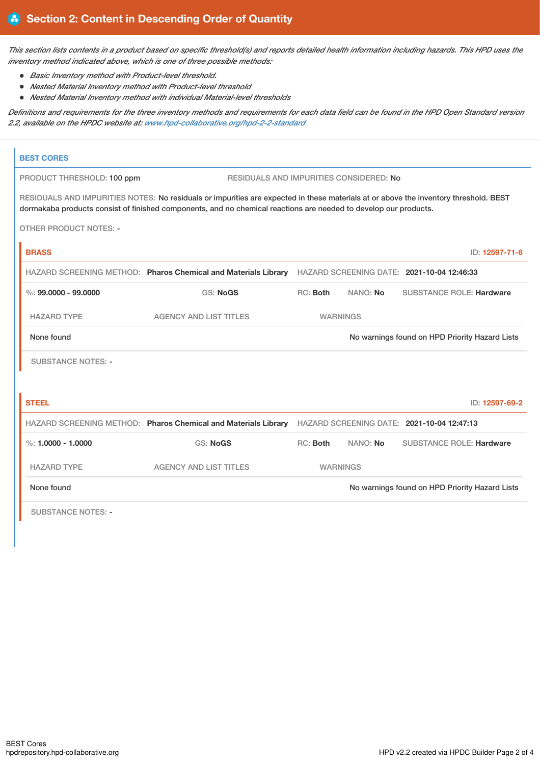This section lists contents in a product based on specific threshold(s) and reports detailed health information including hazards. This HPD uses the *inventory method indicated above, which is one of three possible methods:*

- *Basic Inventory method with Product-level threshold.*
- *Nested Material Inventory method with Product-level threshold*
- *Nested Material Inventory method with individual Material-level thresholds*

Definitions and requirements for the three inventory methods and requirements for each data field can be found in the HPD Open Standard version *2.2, available on the HPDC website at: [www.hpd-collaborative.org/hpd-2-2-standard](https://www.hpd-collaborative.org/hpd-2-2-standard)*

| <b>BEST CORES</b>                                                     |                                                                                                                                                                                                                                                          |                                                |                 |                                 |  |
|-----------------------------------------------------------------------|----------------------------------------------------------------------------------------------------------------------------------------------------------------------------------------------------------------------------------------------------------|------------------------------------------------|-----------------|---------------------------------|--|
| RESIDUALS AND IMPURITIES CONSIDERED: No<br>PRODUCT THRESHOLD: 100 ppm |                                                                                                                                                                                                                                                          |                                                |                 |                                 |  |
|                                                                       | RESIDUALS AND IMPURITIES NOTES: No residuals or impurities are expected in these materials at or above the inventory threshold. BEST<br>dormakaba products consist of finished components, and no chemical reactions are needed to develop our products. |                                                |                 |                                 |  |
| <b>OTHER PRODUCT NOTES: -</b>                                         |                                                                                                                                                                                                                                                          |                                                |                 |                                 |  |
| <b>BRASS</b>                                                          |                                                                                                                                                                                                                                                          |                                                |                 | ID: 12597-71-6                  |  |
|                                                                       | HAZARD SCREENING METHOD: Pharos Chemical and Materials Library HAZARD SCREENING DATE: 2021-10-04 12:46:33                                                                                                                                                |                                                |                 |                                 |  |
| $\%$ : 99,0000 - 99,0000                                              | <b>GS: NoGS</b>                                                                                                                                                                                                                                          | RC: Both                                       | NANO: No        | <b>SUBSTANCE ROLE: Hardware</b> |  |
| <b>HAZARD TYPE</b>                                                    | <b>AGENCY AND LIST TITLES</b>                                                                                                                                                                                                                            |                                                | <b>WARNINGS</b> |                                 |  |
| None found                                                            |                                                                                                                                                                                                                                                          | No warnings found on HPD Priority Hazard Lists |                 |                                 |  |
| <b>SUBSTANCE NOTES: -</b>                                             |                                                                                                                                                                                                                                                          |                                                |                 |                                 |  |
|                                                                       |                                                                                                                                                                                                                                                          |                                                |                 |                                 |  |
| <b>STEEL</b>                                                          |                                                                                                                                                                                                                                                          |                                                |                 | ID: 12597-69-2                  |  |
|                                                                       | HAZARD SCREENING METHOD: Pharos Chemical and Materials Library HAZARD SCREENING DATE: 2021-10-04 12:47:13                                                                                                                                                |                                                |                 |                                 |  |
| %: $1.0000 - 1.0000$                                                  | <b>GS: NoGS</b>                                                                                                                                                                                                                                          | RC: Both                                       | NANO: No        | <b>SUBSTANCE ROLE: Hardware</b> |  |
| <b>HAZARD TYPE</b>                                                    | <b>AGENCY AND LIST TITLES</b>                                                                                                                                                                                                                            | <b>WARNINGS</b>                                |                 |                                 |  |
| None found                                                            |                                                                                                                                                                                                                                                          | No warnings found on HPD Priority Hazard Lists |                 |                                 |  |
| <b>SUBSTANCE NOTES: -</b>                                             |                                                                                                                                                                                                                                                          |                                                |                 |                                 |  |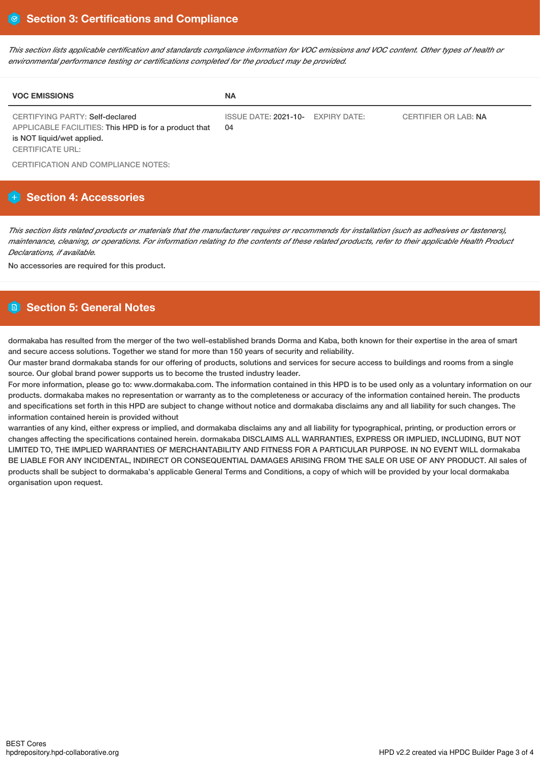This section lists applicable certification and standards compliance information for VOC emissions and VOC content. Other types of health or *environmental performance testing or certifications completed for the product may be provided.*

| <b>VOC EMISSIONS</b>                                                                                                                                     | <b>NA</b>                               |                      |
|----------------------------------------------------------------------------------------------------------------------------------------------------------|-----------------------------------------|----------------------|
| <b>CERTIFYING PARTY: Self-declared</b><br>APPLICABLE FACILITIES: This HPD is for a product that<br>is NOT liquid/wet applied.<br><b>CERTIFICATE URL:</b> | ISSUE DATE: 2021-10- EXPIRY DATE:<br>04 | CERTIFIER OR LAB: NA |

CERTIFICATION AND COMPLIANCE NOTES:

# **Section 4: Accessories**

This section lists related products or materials that the manufacturer requires or recommends for installation (such as adhesives or fasteners), maintenance, cleaning, or operations. For information relating to the contents of these related products, refer to their applicable Health Product *Declarations, if available.*

No accessories are required for this product.

# **Section 5: General Notes**

dormakaba has resulted from the merger of the two well-established brands Dorma and Kaba, both known for their expertise in the area of smart and secure access solutions. Together we stand for more than 150 years of security and reliability.

Our master brand dormakaba stands for our offering of products, solutions and services for secure access to buildings and rooms from a single source. Our global brand power supports us to become the trusted industry leader.

For more information, please go to: www.dormakaba.com. The information contained in this HPD is to be used only as a voluntary information on our products. dormakaba makes no representation or warranty as to the completeness or accuracy of the information contained herein. The products and specifications set forth in this HPD are subject to change without notice and dormakaba disclaims any and all liability for such changes. The information contained herein is provided without

warranties of any kind, either express or implied, and dormakaba disclaims any and all liability for typographical, printing, or production errors or changes affecting the specifications contained herein. dormakaba DISCLAIMS ALL WARRANTIES, EXPRESS OR IMPLIED, INCLUDING, BUT NOT LIMITED TO, THE IMPLIED WARRANTIES OF MERCHANTABILITY AND FITNESS FOR A PARTICULAR PURPOSE. IN NO EVENT WILL dormakaba BE LIABLE FOR ANY INCIDENTAL, INDIRECT OR CONSEQUENTIAL DAMAGES ARISING FROM THE SALE OR USE OF ANY PRODUCT. All sales of products shall be subject to dormakaba's applicable General Terms and Conditions, a copy of which will be provided by your local dormakaba organisation upon request.